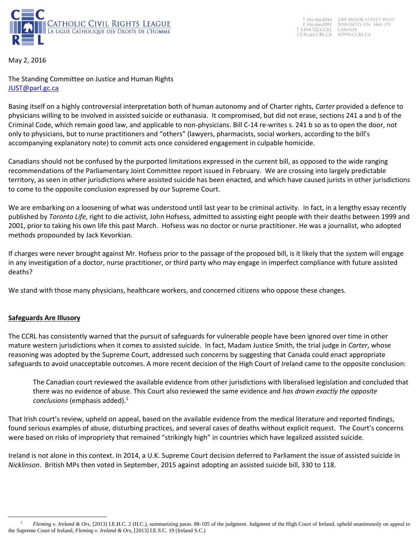

T 416.466.8244 2305 BLOOR STREET WEST F 416.466.0091<br>T 1.844.722.CCRL TORONTO, ON M6S 1P1 CANADA CCRL@CCRL.CA WWW.CCRL.CA

May 2, 2016

The Standing Committee on Justice and Human Rights [JUST@parl.gc.ca](mailto:JUST@parl.gc.ca)

Basing itself on a highly controversial interpretation both of human autonomy and of Charter rights, *Carter* provided a defence to physicians willing to be involved in assisted suicide or euthanasia. It compromised, but did not erase, sections 241 a and b of the Criminal Code, which remain good law, and applicable to non-physicians. Bill C-14 re-writes s. 241 b so as to open the door, not only to physicians, but to nurse practitioners and "others" (lawyers, pharmacists, social workers, according to the bill's accompanying explanatory note) to commit acts once considered engagement in culpable homicide.

Canadians should not be confused by the purported limitations expressed in the current bill, as opposed to the wide ranging recommendations of the Parliamentary Joint Committee report issued in February. We are crossing into largely predictable territory, as seen in other jurisdictions where assisted suicide has been enacted, and which have caused jurists in other jurisdictions to come to the opposite conclusion expressed by our Supreme Court.

We are embarking on a loosening of what was understood until last year to be criminal activity. In fact, in a lengthy essay recently published by *Toronto Life*, right to die activist, John Hofsess, admitted to assisting eight people with their deaths between 1999 and 2001, prior to taking his own life this past March. Hofsess was no doctor or nurse practitioner. He was a journalist, who adopted methods propounded by Jack Kevorkian.

If charges were never brought against Mr. Hofsess prior to the passage of the proposed bill, is it likely that the system will engage in any investigation of a doctor, nurse practitioner, or third party who may engage in imperfect compliance with future assisted deaths?

We stand with those many physicians, healthcare workers, and concerned citizens who oppose these changes.

# **Safeguards Are Illusory**

l

The CCRL has consistently warned that the pursuit of safeguards for vulnerable people have been ignored over time in other mature western jurisdictions when it comes to assisted suicide. In fact, Madam Justice Smith, the trial judge in *Carter*, whose reasoning was adopted by the Supreme Court, addressed such concerns by suggesting that Canada could enact appropriate safeguards to avoid unacceptable outcomes. A more recent decision of the High Court of Ireland came to the opposite conclusion:

The Canadian court reviewed the available evidence from other jurisdictions with liberalised legislation and concluded that there was no evidence of abuse. This Court also reviewed the same evidence and *has drawn exactly the opposite conclusions* (emphasis added).<sup>1</sup>

That Irish court's review, upheld on appeal, based on the available evidence from the medical literature and reported findings, found serious examples of abuse, disturbing practices, and several cases of deaths without explicit request. The Court's concerns were based on risks of impropriety that remained "strikingly high" in countries which have legalized assisted suicide.

Ireland is not alone in this context. In 2014, a U.K. Supreme Court decision deferred to Parliament the issue of assisted suicide in *Nicklinson*. British MPs then voted in September, 2015 against adopting an assisted suicide bill, 330 to 118.

*Fleming v. Ireland & Ors*, [2013] I.E.H.C. 2 (H.C.), summarizing paras. 88-105 of the judgment. Judgment of the High Court of Ireland, upheld unanimously on appeal to the Supreme Court of Ireland, *Fleming v. Ireland & Ors*, [2013] I.E.S.C. 19 (Ireland S.C.)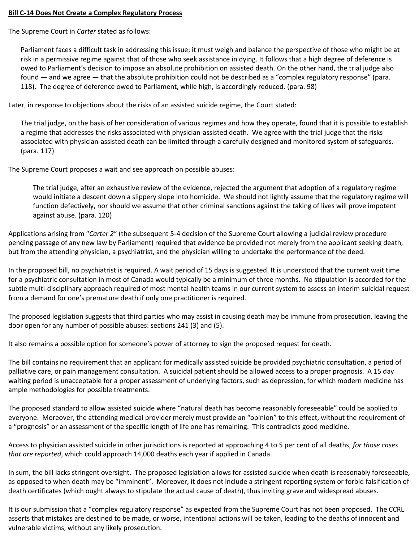## **Bill C-14 Does Not Create a Complex Regulatory Process**

The Supreme Court in *Carter* stated as follows:

Parliament faces a difficult task in addressing this issue; it must weigh and balance the perspective of those who might be at risk in a permissive regime against that of those who seek assistance in dying. It follows that a high degree of deference is owed to Parliament's decision to impose an absolute prohibition on assisted death. On the other hand, the trial judge also found — and we agree — that the absolute prohibition could not be described as a "complex regulatory response" (para. 118). The degree of deference owed to Parliament, while high, is accordingly reduced. (para. 98)

Later, in response to objections about the risks of an assisted suicide regime, the Court stated:

The trial judge, on the basis of her consideration of various regimes and how they operate, found that it is possible to establish a regime that addresses the risks associated with physician-assisted death. We agree with the trial judge that the risks associated with physician-assisted death can be limited through a carefully designed and monitored system of safeguards. (para. 117)

The Supreme Court proposes a wait and see approach on possible abuses:

The trial judge, after an exhaustive review of the evidence, rejected the argument that adoption of a regulatory regime would initiate a descent down a slippery slope into homicide. We should not lightly assume that the regulatory regime will function defectively, nor should we assume that other criminal sanctions against the taking of lives will prove impotent against abuse. (para. 120)

Applications arising from "*Carter 2*" (the subsequent 5-4 decision of the Supreme Court allowing a judicial review procedure pending passage of any new law by Parliament) required that evidence be provided not merely from the applicant seeking death, but from the attending physician, a psychiatrist, and the physician willing to undertake the performance of the deed.

In the proposed bill, no psychiatrist is required. A wait period of 15 days is suggested. It is understood that the current wait time for a psychiatric consultation in most of Canada would typically be a minimum of three months. No stipulation is accorded for the subtle multi-disciplinary approach required of most mental health teams in our current system to assess an interim suicidal request from a demand for one's premature death if only one practitioner is required.

The proposed legislation suggests that third parties who may assist in causing death may be immune from prosecution, leaving the door open for any number of possible abuses: sections 241 (3) and (5).

It also remains a possible option for someone's power of attorney to sign the proposed request for death.

The bill contains no requirement that an applicant for medically assisted suicide be provided psychiatric consultation, a period of palliative care, or pain management consultation. A suicidal patient should be allowed access to a proper prognosis. A 15 day waiting period is unacceptable for a proper assessment of underlying factors, such as depression, for which modern medicine has ample methodologies for possible treatments.

The proposed standard to allow assisted suicide where "natural death has become reasonably foreseeable" could be applied to everyone. Moreover, the attending medical provider merely must provide an "opinion" to this effect, without the requirement of a "prognosis" or an assessment of the specific length of life one has remaining. This contradicts good medicine.

Access to physician assisted suicide in other jurisdictions is reported at approaching 4 to 5 per cent of all deaths, *for those cases that are reported*, which could approach 14,000 deaths each year if applied in Canada.

In sum, the bill lacks stringent oversight. The proposed legislation allows for assisted suicide when death is reasonably foreseeable, as opposed to when death may be "imminent". Moreover, it does not include a stringent reporting system or forbid falsification of death certificates (which ought always to stipulate the actual cause of death), thus inviting grave and widespread abuses.

It is our submission that a "complex regulatory response" as expected from the Supreme Court has not been proposed. The CCRL asserts that mistakes are destined to be made, or worse, intentional actions will be taken, leading to the deaths of innocent and vulnerable victims, without any likely prosecution.